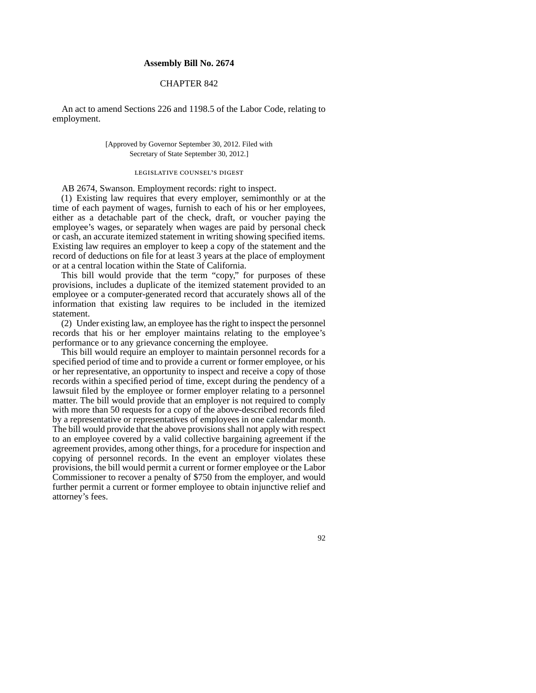### **Assembly Bill No. 2674**

## CHAPTER 842

An act to amend Sections 226 and 1198.5 of the Labor Code, relating to employment.

#### [Approved by Governor September 30, 2012. Filed with Secretary of State September 30, 2012.]

# legislative counsel' s digest

AB 2674, Swanson. Employment records: right to inspect.

(1) Existing law requires that every employer, semimonthly or at the time of each payment of wages, furnish to each of his or her employees, either as a detachable part of the check, draft, or voucher paying the employee's wages, or separately when wages are paid by personal check or cash, an accurate itemized statement in writing showing specified items. Existing law requires an employer to keep a copy of the statement and the record of deductions on file for at least 3 years at the place of employment or at a central location within the State of California.

This bill would provide that the term "copy," for purposes of these provisions, includes a duplicate of the itemized statement provided to an employee or a computer-generated record that accurately shows all of the information that existing law requires to be included in the itemized statement.

(2) Under existing law, an employee has the right to inspect the personnel records that his or her employer maintains relating to the employee's performance or to any grievance concerning the employee.

This bill would require an employer to maintain personnel records for a specified period of time and to provide a current or former employee, or his or her representative, an opportunity to inspect and receive a copy of those records within a specified period of time, except during the pendency of a lawsuit filed by the employee or former employer relating to a personnel matter. The bill would provide that an employer is not required to comply with more than 50 requests for a copy of the above-described records filed by a representative or representatives of employees in one calendar month. The bill would provide that the above provisions shall not apply with respect to an employee covered by a valid collective bargaining agreement if the agreement provides, among other things, for a procedure for inspection and copying of personnel records. In the event an employer violates these provisions, the bill would permit a current or former employee or the Labor Commissioner to recover a penalty of \$750 from the employer, and would further permit a current or former employee to obtain injunctive relief and attorney's fees.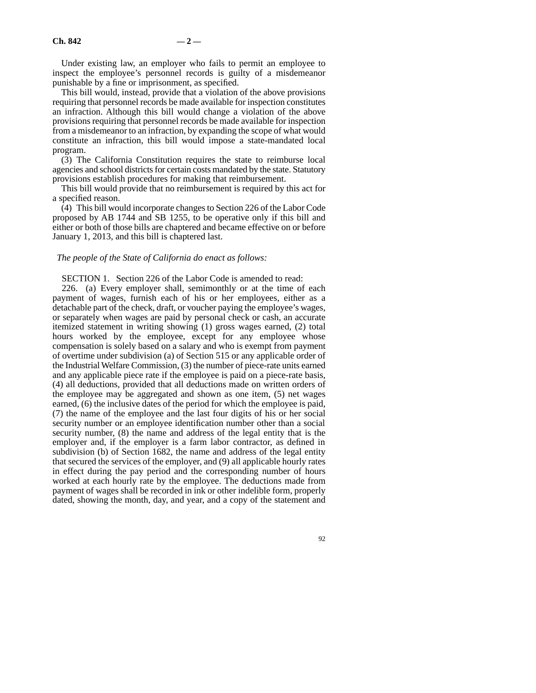Under existing law, an employer who fails to permit an employee to inspect the employee's personnel records is guilty of a misdemeanor punishable by a fine or imprisonment, as specified.

This bill would, instead, provide that a violation of the above provisions requiring that personnel records be made available for inspection constitutes an infraction. Although this bill would change a violation of the above provisions requiring that personnel records be made available for inspection from a misdemeanor to an infraction, by expanding the scope of what would constitute an infraction, this bill would impose a state-mandated local program.

(3) The California Constitution requires the state to reimburse local agencies and school districts for certain costs mandated by the state. Statutory provisions establish procedures for making that reimbursement.

This bill would provide that no reimbursement is required by this act for a specified reason.

(4) This bill would incorporate changes to Section 226 of the Labor Code proposed by AB 1744 and SB 1255, to be operative only if this bill and either or both of those bills are chaptered and became effective on or before January 1, 2013, and this bill is chaptered last.

#### *The people of the State of California do enact as follows:*

SECTION 1. Section 226 of the Labor Code is amended to read:

226. (a) Every employer shall, semimonthly or at the time of each payment of wages, furnish each of his or her employees, either as a detachable part of the check, draft, or voucher paying the employee's wages, or separately when wages are paid by personal check or cash, an accurate itemized statement in writing showing (1) gross wages earned, (2) total hours worked by the employee, except for any employee whose compensation is solely based on a salary and who is exempt from payment of overtime under subdivision (a) of Section 515 or any applicable order of the Industrial Welfare Commission, (3) the number of piece-rate units earned and any applicable piece rate if the employee is paid on a piece-rate basis, (4) all deductions, provided that all deductions made on written orders of the employee may be aggregated and shown as one item, (5) net wages earned, (6) the inclusive dates of the period for which the employee is paid, (7) the name of the employee and the last four digits of his or her social security number or an employee identification number other than a social security number, (8) the name and address of the legal entity that is the employer and, if the employer is a farm labor contractor, as defined in subdivision (b) of Section 1682, the name and address of the legal entity that secured the services of the employer, and (9) all applicable hourly rates in effect during the pay period and the corresponding number of hours worked at each hourly rate by the employee. The deductions made from payment of wages shall be recorded in ink or other indelible form, properly dated, showing the month, day, and year, and a copy of the statement and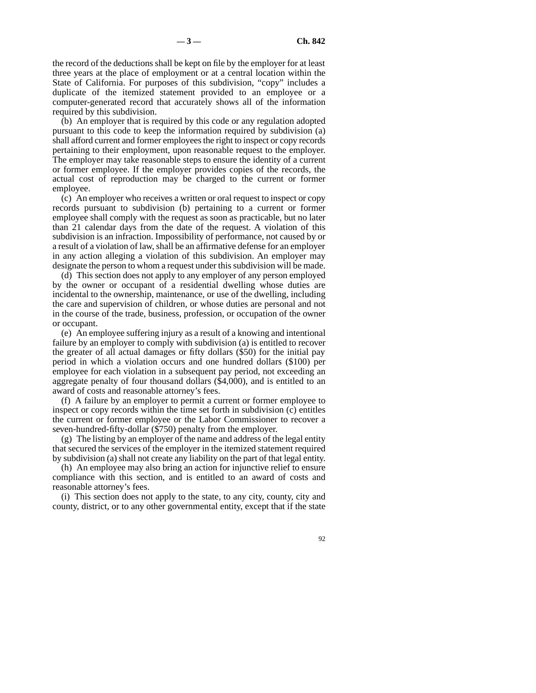the record of the deductions shall be kept on file by the employer for at least three years at the place of employment or at a central location within the State of California. For purposes of this subdivision, "copy" includes a duplicate of the itemized statement provided to an employee or a computer-generated record that accurately shows all of the information required by this subdivision.

(b) An employer that is required by this code or any regulation adopted pursuant to this code to keep the information required by subdivision (a) shall afford current and former employees the right to inspect or copy records pertaining to their employment, upon reasonable request to the employer. The employer may take reasonable steps to ensure the identity of a current or former employee. If the employer provides copies of the records, the actual cost of reproduction may be charged to the current or former employee.

(c) An employer who receives a written or oral request to inspect or copy records pursuant to subdivision (b) pertaining to a current or former employee shall comply with the request as soon as practicable, but no later than 21 calendar days from the date of the request. A violation of this subdivision is an infraction. Impossibility of performance, not caused by or a result of a violation of law, shall be an affirmative defense for an employer in any action alleging a violation of this subdivision. An employer may designate the person to whom a request under this subdivision will be made.

(d) This section does not apply to any employer of any person employed by the owner or occupant of a residential dwelling whose duties are incidental to the ownership, maintenance, or use of the dwelling, including the care and supervision of children, or whose duties are personal and not in the course of the trade, business, profession, or occupation of the owner or occupant.

(e) An employee suffering injury as a result of a knowing and intentional failure by an employer to comply with subdivision (a) is entitled to recover the greater of all actual damages or fifty dollars (\$50) for the initial pay period in which a violation occurs and one hundred dollars (\$100) per employee for each violation in a subsequent pay period, not exceeding an aggregate penalty of four thousand dollars (\$4,000), and is entitled to an award of costs and reasonable attorney's fees.

(f) A failure by an employer to permit a current or former employee to inspect or copy records within the time set forth in subdivision (c) entitles the current or former employee or the Labor Commissioner to recover a seven-hundred-fifty-dollar (\$750) penalty from the employer.

(g) The listing by an employer of the name and address of the legal entity that secured the services of the employer in the itemized statement required by subdivision (a) shall not create any liability on the part of that legal entity.

(h) An employee may also bring an action for injunctive relief to ensure compliance with this section, and is entitled to an award of costs and reasonable attorney's fees.

(i) This section does not apply to the state, to any city, county, city and county, district, or to any other governmental entity, except that if the state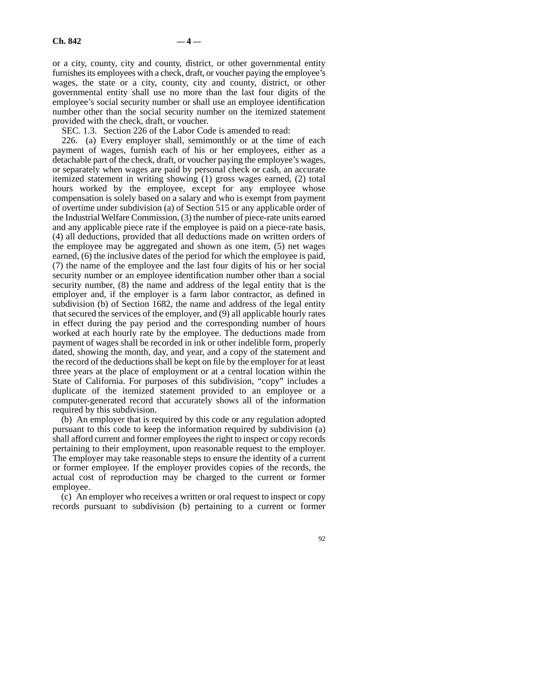or a city, county, city and county, district, or other governmental entity furnishes its employees with a check, draft, or voucher paying the employee's wages, the state or a city, county, city and county, district, or other governmental entity shall use no more than the last four digits of the employee's social security number or shall use an employee identification number other than the social security number on the itemized statement provided with the check, draft, or voucher.

SEC. 1.3. Section 226 of the Labor Code is amended to read:

226. (a) Every employer shall, semimonthly or at the time of each payment of wages, furnish each of his or her employees, either as a detachable part of the check, draft, or voucher paying the employee's wages, or separately when wages are paid by personal check or cash, an accurate itemized statement in writing showing (1) gross wages earned, (2) total hours worked by the employee, except for any employee whose compensation is solely based on a salary and who is exempt from payment of overtime under subdivision (a) of Section 515 or any applicable order of the Industrial Welfare Commission, (3) the number of piece-rate units earned and any applicable piece rate if the employee is paid on a piece-rate basis, (4) all deductions, provided that all deductions made on written orders of the employee may be aggregated and shown as one item, (5) net wages earned, (6) the inclusive dates of the period for which the employee is paid, (7) the name of the employee and the last four digits of his or her social security number or an employee identification number other than a social security number, (8) the name and address of the legal entity that is the employer and, if the employer is a farm labor contractor, as defined in subdivision (b) of Section 1682, the name and address of the legal entity that secured the services of the employer, and (9) all applicable hourly rates in effect during the pay period and the corresponding number of hours worked at each hourly rate by the employee. The deductions made from payment of wages shall be recorded in ink or other indelible form, properly dated, showing the month, day, and year, and a copy of the statement and the record of the deductions shall be kept on file by the employer for at least three years at the place of employment or at a central location within the State of California. For purposes of this subdivision, "copy" includes a duplicate of the itemized statement provided to an employee or a computer-generated record that accurately shows all of the information required by this subdivision.

(b) An employer that is required by this code or any regulation adopted pursuant to this code to keep the information required by subdivision (a) shall afford current and former employees the right to inspect or copy records pertaining to their employment, upon reasonable request to the employer. The employer may take reasonable steps to ensure the identity of a current or former employee. If the employer provides copies of the records, the actual cost of reproduction may be charged to the current or former employee.

(c) An employer who receives a written or oral request to inspect or copy records pursuant to subdivision (b) pertaining to a current or former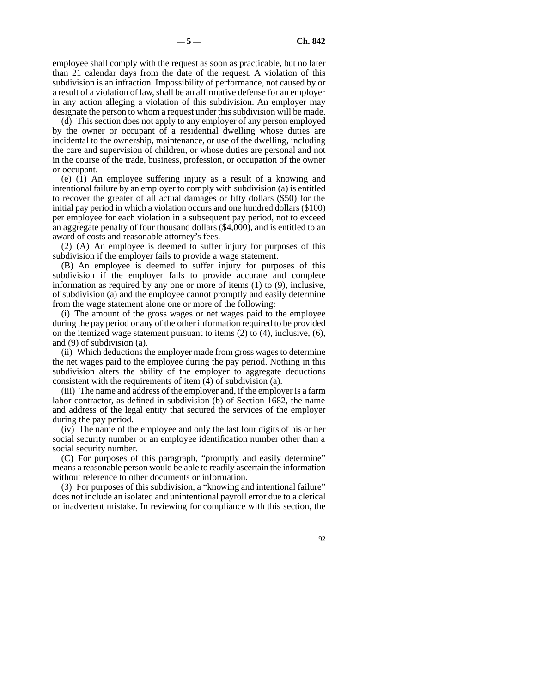employee shall comply with the request as soon as practicable, but no later than 21 calendar days from the date of the request. A violation of this subdivision is an infraction. Impossibility of performance, not caused by or a result of a violation of law, shall be an affirmative defense for an employer in any action alleging a violation of this subdivision. An employer may designate the person to whom a request under this subdivision will be made.

(d) This section does not apply to any employer of any person employed by the owner or occupant of a residential dwelling whose duties are incidental to the ownership, maintenance, or use of the dwelling, including the care and supervision of children, or whose duties are personal and not in the course of the trade, business, profession, or occupation of the owner or occupant.

(e) (1) An employee suffering injury as a result of a knowing and intentional failure by an employer to comply with subdivision (a) is entitled to recover the greater of all actual damages or fifty dollars (\$50) for the initial pay period in which a violation occurs and one hundred dollars (\$100) per employee for each violation in a subsequent pay period, not to exceed an aggregate penalty of four thousand dollars (\$4,000), and is entitled to an award of costs and reasonable attorney's fees.

(2) (A) An employee is deemed to suffer injury for purposes of this subdivision if the employer fails to provide a wage statement.

(B) An employee is deemed to suffer injury for purposes of this subdivision if the employer fails to provide accurate and complete information as required by any one or more of items (1) to (9), inclusive, of subdivision (a) and the employee cannot promptly and easily determine from the wage statement alone one or more of the following:

(i) The amount of the gross wages or net wages paid to the employee during the pay period or any of the other information required to be provided on the itemized wage statement pursuant to items (2) to (4), inclusive, (6), and (9) of subdivision (a).

(ii) Which deductions the employer made from gross wages to determine the net wages paid to the employee during the pay period. Nothing in this subdivision alters the ability of the employer to aggregate deductions consistent with the requirements of item (4) of subdivision (a).

(iii) The name and address of the employer and, if the employer is a farm labor contractor, as defined in subdivision (b) of Section 1682, the name and address of the legal entity that secured the services of the employer during the pay period.

(iv) The name of the employee and only the last four digits of his or her social security number or an employee identification number other than a social security number.

(C) For purposes of this paragraph, "promptly and easily determine" means a reasonable person would be able to readily ascertain the information without reference to other documents or information.

(3) For purposes of this subdivision, a "knowing and intentional failure" does not include an isolated and unintentional payroll error due to a clerical or inadvertent mistake. In reviewing for compliance with this section, the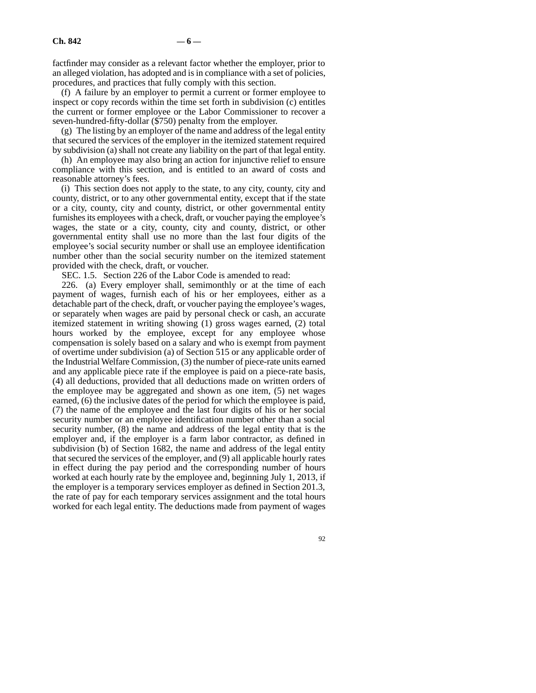factfinder may consider as a relevant factor whether the employer, prior to an alleged violation, has adopted and is in compliance with a set of policies, procedures, and practices that fully comply with this section.

(f) A failure by an employer to permit a current or former employee to inspect or copy records within the time set forth in subdivision (c) entitles the current or former employee or the Labor Commissioner to recover a seven-hundred-fifty-dollar (\$750) penalty from the employer.

(g) The listing by an employer of the name and address of the legal entity that secured the services of the employer in the itemized statement required by subdivision (a) shall not create any liability on the part of that legal entity.

(h) An employee may also bring an action for injunctive relief to ensure compliance with this section, and is entitled to an award of costs and reasonable attorney's fees.

(i) This section does not apply to the state, to any city, county, city and county, district, or to any other governmental entity, except that if the state or a city, county, city and county, district, or other governmental entity furnishes its employees with a check, draft, or voucher paying the employee's wages, the state or a city, county, city and county, district, or other governmental entity shall use no more than the last four digits of the employee's social security number or shall use an employee identification number other than the social security number on the itemized statement provided with the check, draft, or voucher.

SEC. 1.5. Section 226 of the Labor Code is amended to read:

226. (a) Every employer shall, semimonthly or at the time of each payment of wages, furnish each of his or her employees, either as a detachable part of the check, draft, or voucher paying the employee's wages, or separately when wages are paid by personal check or cash, an accurate itemized statement in writing showing (1) gross wages earned, (2) total hours worked by the employee, except for any employee whose compensation is solely based on a salary and who is exempt from payment of overtime under subdivision (a) of Section 515 or any applicable order of the Industrial Welfare Commission, (3) the number of piece-rate units earned and any applicable piece rate if the employee is paid on a piece-rate basis, (4) all deductions, provided that all deductions made on written orders of the employee may be aggregated and shown as one item, (5) net wages earned, (6) the inclusive dates of the period for which the employee is paid, (7) the name of the employee and the last four digits of his or her social security number or an employee identification number other than a social security number, (8) the name and address of the legal entity that is the employer and, if the employer is a farm labor contractor, as defined in subdivision (b) of Section 1682, the name and address of the legal entity that secured the services of the employer, and (9) all applicable hourly rates in effect during the pay period and the corresponding number of hours worked at each hourly rate by the employee and, beginning July 1, 2013, if the employer is a temporary services employer as defined in Section 201.3, the rate of pay for each temporary services assignment and the total hours worked for each legal entity. The deductions made from payment of wages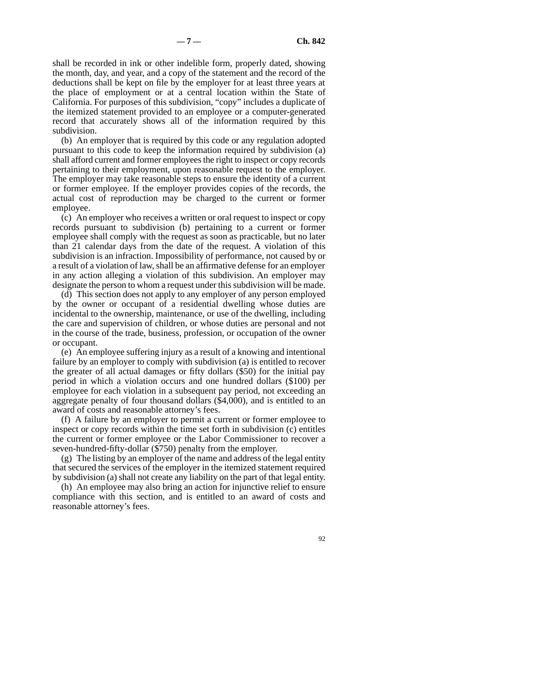shall be recorded in ink or other indelible form, properly dated, showing the month, day, and year, and a copy of the statement and the record of the deductions shall be kept on file by the employer for at least three years at the place of employment or at a central location within the State of California. For purposes of this subdivision, "copy" includes a duplicate of the itemized statement provided to an employee or a computer-generated record that accurately shows all of the information required by this subdivision.

(b) An employer that is required by this code or any regulation adopted pursuant to this code to keep the information required by subdivision (a) shall afford current and former employees the right to inspect or copy records pertaining to their employment, upon reasonable request to the employer. The employer may take reasonable steps to ensure the identity of a current or former employee. If the employer provides copies of the records, the actual cost of reproduction may be charged to the current or former employee.

(c) An employer who receives a written or oral request to inspect or copy records pursuant to subdivision (b) pertaining to a current or former employee shall comply with the request as soon as practicable, but no later than 21 calendar days from the date of the request. A violation of this subdivision is an infraction. Impossibility of performance, not caused by or a result of a violation of law, shall be an affirmative defense for an employer in any action alleging a violation of this subdivision. An employer may designate the person to whom a request under this subdivision will be made.

(d) This section does not apply to any employer of any person employed by the owner or occupant of a residential dwelling whose duties are incidental to the ownership, maintenance, or use of the dwelling, including the care and supervision of children, or whose duties are personal and not in the course of the trade, business, profession, or occupation of the owner or occupant.

(e) An employee suffering injury as a result of a knowing and intentional failure by an employer to comply with subdivision (a) is entitled to recover the greater of all actual damages or fifty dollars (\$50) for the initial pay period in which a violation occurs and one hundred dollars (\$100) per employee for each violation in a subsequent pay period, not exceeding an aggregate penalty of four thousand dollars (\$4,000), and is entitled to an award of costs and reasonable attorney's fees.

(f) A failure by an employer to permit a current or former employee to inspect or copy records within the time set forth in subdivision (c) entitles the current or former employee or the Labor Commissioner to recover a seven-hundred-fifty-dollar (\$750) penalty from the employer.

(g) The listing by an employer of the name and address of the legal entity that secured the services of the employer in the itemized statement required by subdivision (a) shall not create any liability on the part of that legal entity.

(h) An employee may also bring an action for injunctive relief to ensure compliance with this section, and is entitled to an award of costs and reasonable attorney's fees.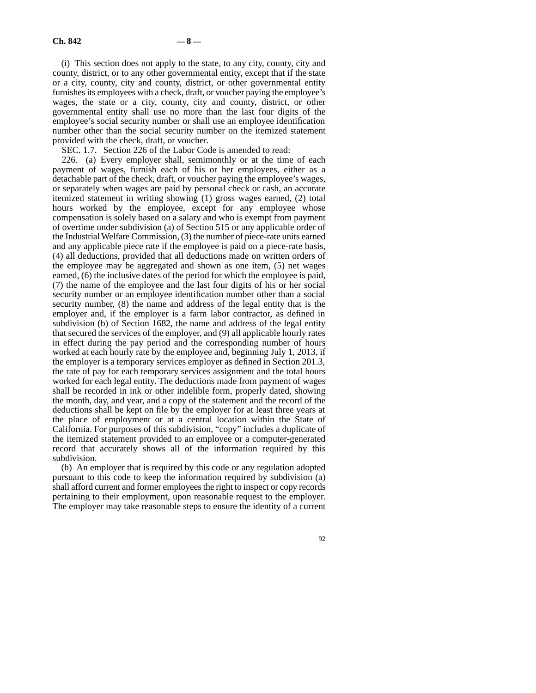(i) This section does not apply to the state, to any city, county, city and county, district, or to any other governmental entity, except that if the state or a city, county, city and county, district, or other governmental entity furnishes its employees with a check, draft, or voucher paying the employee's wages, the state or a city, county, city and county, district, or other governmental entity shall use no more than the last four digits of the employee's social security number or shall use an employee identification number other than the social security number on the itemized statement provided with the check, draft, or voucher.

SEC. 1.7. Section 226 of the Labor Code is amended to read:

226. (a) Every employer shall, semimonthly or at the time of each payment of wages, furnish each of his or her employees, either as a detachable part of the check, draft, or voucher paying the employee's wages, or separately when wages are paid by personal check or cash, an accurate itemized statement in writing showing (1) gross wages earned, (2) total hours worked by the employee, except for any employee whose compensation is solely based on a salary and who is exempt from payment of overtime under subdivision (a) of Section 515 or any applicable order of the Industrial Welfare Commission, (3) the number of piece-rate units earned and any applicable piece rate if the employee is paid on a piece-rate basis, (4) all deductions, provided that all deductions made on written orders of the employee may be aggregated and shown as one item, (5) net wages earned, (6) the inclusive dates of the period for which the employee is paid, (7) the name of the employee and the last four digits of his or her social security number or an employee identification number other than a social security number, (8) the name and address of the legal entity that is the employer and, if the employer is a farm labor contractor, as defined in subdivision (b) of Section 1682, the name and address of the legal entity that secured the services of the employer, and (9) all applicable hourly rates in effect during the pay period and the corresponding number of hours worked at each hourly rate by the employee and, beginning July 1, 2013, if the employer is a temporary services employer as defined in Section 201.3, the rate of pay for each temporary services assignment and the total hours worked for each legal entity. The deductions made from payment of wages shall be recorded in ink or other indelible form, properly dated, showing the month, day, and year, and a copy of the statement and the record of the deductions shall be kept on file by the employer for at least three years at the place of employment or at a central location within the State of California. For purposes of this subdivision, "copy" includes a duplicate of the itemized statement provided to an employee or a computer-generated record that accurately shows all of the information required by this subdivision.

(b) An employer that is required by this code or any regulation adopted pursuant to this code to keep the information required by subdivision (a) shall afford current and former employees the right to inspect or copy records pertaining to their employment, upon reasonable request to the employer. The employer may take reasonable steps to ensure the identity of a current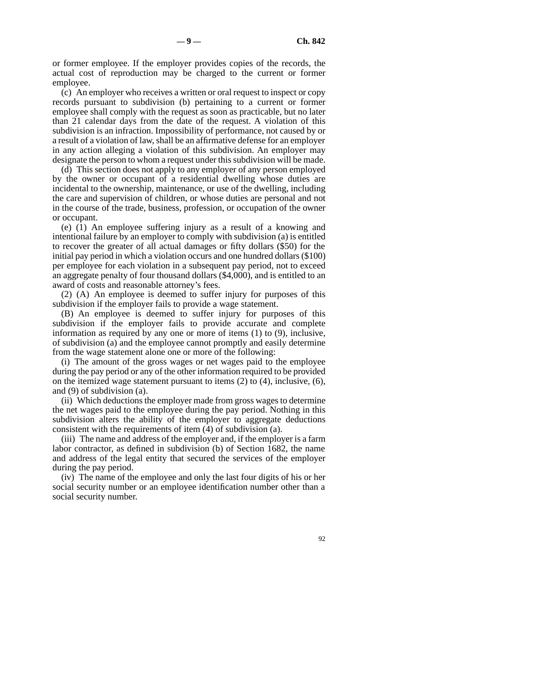or former employee. If the employer provides copies of the records, the actual cost of reproduction may be charged to the current or former employee.

(c) An employer who receives a written or oral request to inspect or copy records pursuant to subdivision (b) pertaining to a current or former employee shall comply with the request as soon as practicable, but no later than 21 calendar days from the date of the request. A violation of this subdivision is an infraction. Impossibility of performance, not caused by or a result of a violation of law, shall be an affirmative defense for an employer in any action alleging a violation of this subdivision. An employer may designate the person to whom a request under this subdivision will be made.

(d) This section does not apply to any employer of any person employed by the owner or occupant of a residential dwelling whose duties are incidental to the ownership, maintenance, or use of the dwelling, including the care and supervision of children, or whose duties are personal and not in the course of the trade, business, profession, or occupation of the owner or occupant.

(e) (1) An employee suffering injury as a result of a knowing and intentional failure by an employer to comply with subdivision (a) is entitled to recover the greater of all actual damages or fifty dollars (\$50) for the initial pay period in which a violation occurs and one hundred dollars (\$100) per employee for each violation in a subsequent pay period, not to exceed an aggregate penalty of four thousand dollars (\$4,000), and is entitled to an award of costs and reasonable attorney's fees.

(2) (A) An employee is deemed to suffer injury for purposes of this subdivision if the employer fails to provide a wage statement.

(B) An employee is deemed to suffer injury for purposes of this subdivision if the employer fails to provide accurate and complete information as required by any one or more of items (1) to (9), inclusive, of subdivision (a) and the employee cannot promptly and easily determine from the wage statement alone one or more of the following:

(i) The amount of the gross wages or net wages paid to the employee during the pay period or any of the other information required to be provided on the itemized wage statement pursuant to items (2) to (4), inclusive, (6), and (9) of subdivision (a).

(ii) Which deductions the employer made from gross wages to determine the net wages paid to the employee during the pay period. Nothing in this subdivision alters the ability of the employer to aggregate deductions consistent with the requirements of item (4) of subdivision (a).

(iii) The name and address of the employer and, if the employer is a farm labor contractor, as defined in subdivision (b) of Section 1682, the name and address of the legal entity that secured the services of the employer during the pay period.

(iv) The name of the employee and only the last four digits of his or her social security number or an employee identification number other than a social security number.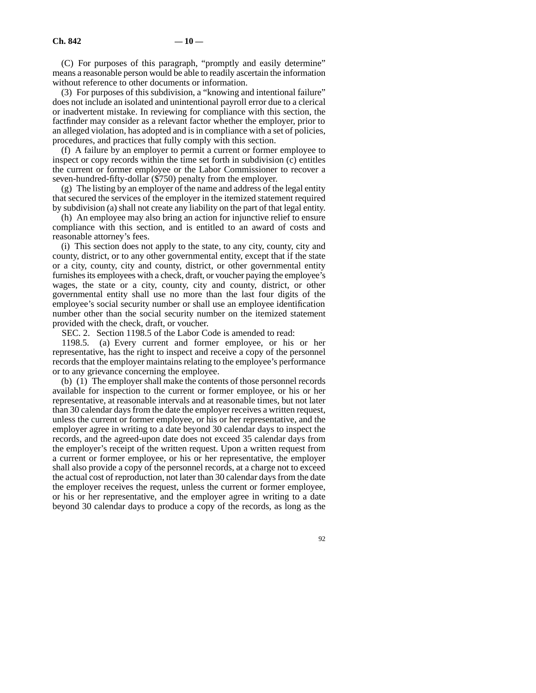(C) For purposes of this paragraph, "promptly and easily determine" means a reasonable person would be able to readily ascertain the information without reference to other documents or information.

(3) For purposes of this subdivision, a "knowing and intentional failure" does not include an isolated and unintentional payroll error due to a clerical or inadvertent mistake. In reviewing for compliance with this section, the factfinder may consider as a relevant factor whether the employer, prior to an alleged violation, has adopted and is in compliance with a set of policies, procedures, and practices that fully comply with this section.

(f) A failure by an employer to permit a current or former employee to inspect or copy records within the time set forth in subdivision (c) entitles the current or former employee or the Labor Commissioner to recover a seven-hundred-fifty-dollar (\$750) penalty from the employer.

(g) The listing by an employer of the name and address of the legal entity that secured the services of the employer in the itemized statement required by subdivision (a) shall not create any liability on the part of that legal entity.

(h) An employee may also bring an action for injunctive relief to ensure compliance with this section, and is entitled to an award of costs and reasonable attorney's fees.

(i) This section does not apply to the state, to any city, county, city and county, district, or to any other governmental entity, except that if the state or a city, county, city and county, district, or other governmental entity furnishes its employees with a check, draft, or voucher paying the employee's wages, the state or a city, county, city and county, district, or other governmental entity shall use no more than the last four digits of the employee's social security number or shall use an employee identification number other than the social security number on the itemized statement provided with the check, draft, or voucher.

SEC. 2. Section 1198.5 of the Labor Code is amended to read:

1198.5. (a) Every current and former employee, or his or her representative, has the right to inspect and receive a copy of the personnel records that the employer maintains relating to the employee's performance or to any grievance concerning the employee.

(b) (1) The employer shall make the contents of those personnel records available for inspection to the current or former employee, or his or her representative, at reasonable intervals and at reasonable times, but not later than 30 calendar days from the date the employer receives a written request, unless the current or former employee, or his or her representative, and the employer agree in writing to a date beyond 30 calendar days to inspect the records, and the agreed-upon date does not exceed 35 calendar days from the employer's receipt of the written request. Upon a written request from a current or former employee, or his or her representative, the employer shall also provide a copy of the personnel records, at a charge not to exceed the actual cost of reproduction, not later than 30 calendar days from the date the employer receives the request, unless the current or former employee, or his or her representative, and the employer agree in writing to a date beyond 30 calendar days to produce a copy of the records, as long as the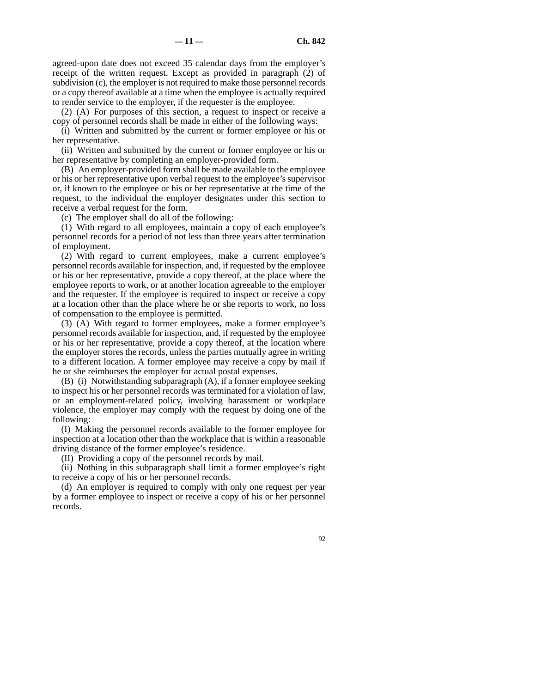agreed-upon date does not exceed 35 calendar days from the employer's receipt of the written request. Except as provided in paragraph (2) of subdivision (c), the employer is not required to make those personnel records or a copy thereof available at a time when the employee is actually required to render service to the employer, if the requester is the employee.

(2) (A) For purposes of this section, a request to inspect or receive a copy of personnel records shall be made in either of the following ways:

(i) Written and submitted by the current or former employee or his or her representative.

(ii) Written and submitted by the current or former employee or his or her representative by completing an employer-provided form.

(B) An employer-provided form shall be made available to the employee or his or her representative upon verbal request to the employee's supervisor or, if known to the employee or his or her representative at the time of the request, to the individual the employer designates under this section to receive a verbal request for the form.

(c) The employer shall do all of the following:

(1) With regard to all employees, maintain a copy of each employee's personnel records for a period of not less than three years after termination of employment.

(2) With regard to current employees, make a current employee's personnel records available for inspection, and, if requested by the employee or his or her representative, provide a copy thereof, at the place where the employee reports to work, or at another location agreeable to the employer and the requester. If the employee is required to inspect or receive a copy at a location other than the place where he or she reports to work, no loss of compensation to the employee is permitted.

(3) (A) With regard to former employees, make a former employee's personnel records available for inspection, and, if requested by the employee or his or her representative, provide a copy thereof, at the location where the employer stores the records, unless the parties mutually agree in writing to a different location. A former employee may receive a copy by mail if he or she reimburses the employer for actual postal expenses.

(B) (i) Notwithstanding subparagraph (A), if a former employee seeking to inspect his or her personnel records was terminated for a violation of law, or an employment-related policy, involving harassment or workplace violence, the employer may comply with the request by doing one of the following:

(I) Making the personnel records available to the former employee for inspection at a location other than the workplace that is within a reasonable driving distance of the former employee's residence.

(II) Providing a copy of the personnel records by mail.

(ii) Nothing in this subparagraph shall limit a former employee's right to receive a copy of his or her personnel records.

(d) An employer is required to comply with only one request per year by a former employee to inspect or receive a copy of his or her personnel records.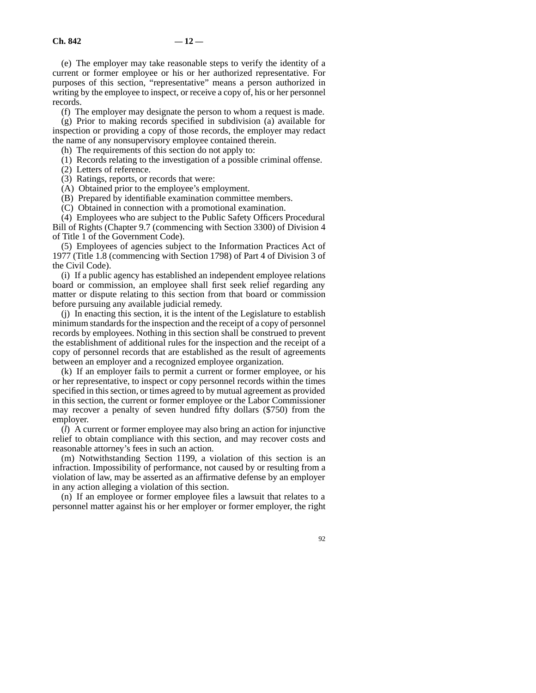(e) The employer may take reasonable steps to verify the identity of a current or former employee or his or her authorized representative. For purposes of this section, "representative" means a person authorized in writing by the employee to inspect, or receive a copy of, his or her personnel records.

(f) The employer may designate the person to whom a request is made.

(g) Prior to making records specified in subdivision (a) available for inspection or providing a copy of those records, the employer may redact the name of any nonsupervisory employee contained therein.

(h) The requirements of this section do not apply to:

(1) Records relating to the investigation of a possible criminal offense.

(2) Letters of reference.

(3) Ratings, reports, or records that were:

(A) Obtained prior to the employee's employment.

(B) Prepared by identifiable examination committee members.

(C) Obtained in connection with a promotional examination.

(4) Employees who are subject to the Public Safety Officers Procedural Bill of Rights (Chapter 9.7 (commencing with Section 3300) of Division 4 of Title 1 of the Government Code).

(5) Employees of agencies subject to the Information Practices Act of 1977 (Title 1.8 (commencing with Section 1798) of Part 4 of Division 3 of the Civil Code).

(i) If a public agency has established an independent employee relations board or commission, an employee shall first seek relief regarding any matter or dispute relating to this section from that board or commission before pursuing any available judicial remedy.

(j) In enacting this section, it is the intent of the Legislature to establish minimum standards for the inspection and the receipt of a copy of personnel records by employees. Nothing in this section shall be construed to prevent the establishment of additional rules for the inspection and the receipt of a copy of personnel records that are established as the result of agreements between an employer and a recognized employee organization.

(k) If an employer fails to permit a current or former employee, or his or her representative, to inspect or copy personnel records within the times specified in this section, or times agreed to by mutual agreement as provided in this section, the current or former employee or the Labor Commissioner may recover a penalty of seven hundred fifty dollars (\$750) from the employer.

(*l*) A current or former employee may also bring an action for injunctive relief to obtain compliance with this section, and may recover costs and reasonable attorney's fees in such an action.

(m) Notwithstanding Section 1199, a violation of this section is an infraction. Impossibility of performance, not caused by or resulting from a violation of law, may be asserted as an affirmative defense by an employer in any action alleging a violation of this section.

(n) If an employee or former employee files a lawsuit that relates to a personnel matter against his or her employer or former employer, the right